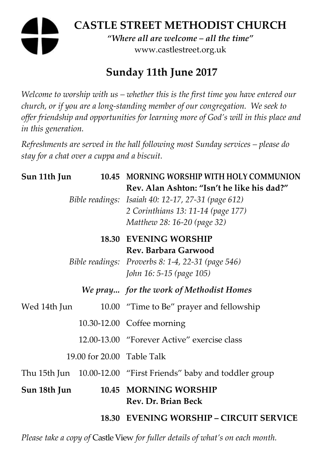# **CASTLE STREET METHODIST CHURCH**  *"Where all are welcome – all the time"*  www.castlestreet.org.uk

# **Sunday 11th June 2017**

*Welcome to worship with us – whether this is the first time you have entered our church, or if you are a long-standing member of our congregation. We seek to offer friendship and opportunities for learning more of God's will in this place and in this generation.* 

*Refreshments are served in the hall following most Sunday services – please do stay for a chat over a cuppa and a biscuit.* 

| Sun 11th Jun               |  | 10.45 MORNING WORSHIP WITH HOLY COMMUNION                                                                                                                             |
|----------------------------|--|-----------------------------------------------------------------------------------------------------------------------------------------------------------------------|
|                            |  | Rev. Alan Ashton: "Isn't he like his dad?"<br>Bible readings: Isaiah 40: 12-17, 27-31 (page 612)<br>2 Corinthians 13: 11-14 (page 177)<br>Matthew 28: 16-20 (page 32) |
|                            |  | <b>18.30 EVENING WORSHIP</b><br>Rev. Barbara Garwood<br>Bible readings: Proverbs 8: 1-4, 22-31 (page 546)<br>John 16: 5-15 (page 105)                                 |
|                            |  | We pray for the work of Methodist Homes                                                                                                                               |
| Wed 14th Jun               |  | 10.00 "Time to Be" prayer and fellowship                                                                                                                              |
|                            |  | 10.30-12.00 Coffee morning                                                                                                                                            |
|                            |  | 12.00-13.00 "Forever Active" exercise class                                                                                                                           |
| 19.00 for 20.00 Table Talk |  |                                                                                                                                                                       |
|                            |  | Thu 15th Jun 10.00-12.00 "First Friends" baby and toddler group                                                                                                       |
| Sun 18th Jun               |  | 10.45 MORNING WORSHIP<br>Rev. Dr. Brian Beck                                                                                                                          |
|                            |  | <b>18.30 EVENING WORSHIP – CIRCUIT SERVICE</b>                                                                                                                        |

*Please take a copy of* Castle View *for fuller details of what's on each month.*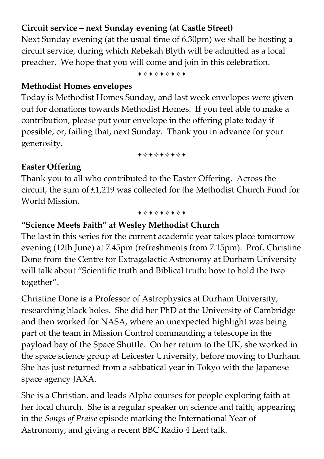## **Circuit service – next Sunday evening (at Castle Street)**

Next Sunday evening (at the usual time of 6.30pm) we shall be hosting a circuit service, during which Rebekah Blyth will be admitted as a local preacher. We hope that you will come and join in this celebration.

+\*\*\*\*\*\*\*

### **Methodist Homes envelopes**

Today is Methodist Homes Sunday, and last week envelopes were given out for donations towards Methodist Homes. If you feel able to make a contribution, please put your envelope in the offering plate today if possible, or, failing that, next Sunday. Thank you in advance for your generosity.

+\*\*\*\*\*\*\*

## **Easter Offering**

Thank you to all who contributed to the Easter Offering. Across the circuit, the sum of £1,219 was collected for the Methodist Church Fund for World Mission.

+\*\*\*\*\*\*\*

## **"Science Meets Faith" at Wesley Methodist Church**

The last in this series for the current academic year takes place tomorrow evening (12th June) at 7.45pm (refreshments from 7.15pm). Prof. Christine Done from the Centre for Extragalactic Astronomy at Durham University will talk about "Scientific truth and Biblical truth: how to hold the two together".

Christine Done is a Professor of Astrophysics at Durham University, researching black holes. She did her PhD at the University of Cambridge and then worked for NASA, where an unexpected highlight was being part of the team in Mission Control commanding a telescope in the payload bay of the Space Shuttle. On her return to the UK, she worked in the space science group at Leicester University, before moving to Durham. She has just returned from a sabbatical year in Tokyo with the Japanese space agency JAXA.

She is a Christian, and leads Alpha courses for people exploring faith at her local church. She is a regular speaker on science and faith, appearing in the *Songs of Praise* episode marking the International Year of Astronomy, and giving a recent BBC Radio 4 Lent talk.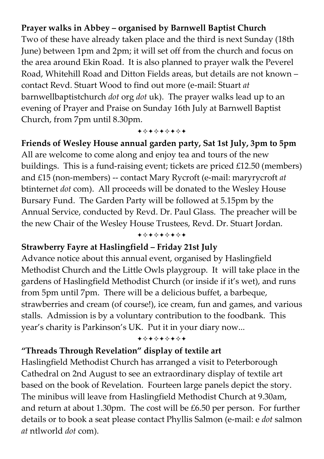## **Prayer walks in Abbey – organised by Barnwell Baptist Church**

Two of these have already taken place and the third is next Sunday (18th June) between 1pm and 2pm; it will set off from the church and focus on the area around Ekin Road. It is also planned to prayer walk the Peverel Road, Whitehill Road and Ditton Fields areas, but details are not known – contact Revd. Stuart Wood to find out more (e-mail: Stuart *at* barnwellbaptistchurch *dot* org *dot* uk). The prayer walks lead up to an evening of Prayer and Praise on Sunday 16th July at Barnwell Baptist Church, from 7pm until 8.30pm.

+\*\*\*\*\*\*\*

**Friends of Wesley House annual garden party, Sat 1st July, 3pm to 5pm**  All are welcome to come along and enjoy tea and tours of the new buildings. This is a fund-raising event; tickets are priced £12.50 (members) and £15 (non-members) -- contact Mary Rycroft (e-mail: maryrycroft *at* btinternet *dot* com). All proceeds will be donated to the Wesley House Bursary Fund. The Garden Party will be followed at 5.15pm by the Annual Service, conducted by Revd. Dr. Paul Glass. The preacher will be the new Chair of the Wesley House Trustees, Revd. Dr. Stuart Jordan. +\*\*\*\*\*\*\*

### **Strawberry Fayre at Haslingfield – Friday 21st July**

Advance notice about this annual event, organised by Haslingfield Methodist Church and the Little Owls playgroup. It will take place in the gardens of Haslingfield Methodist Church (or inside if it's wet), and runs from 5pm until 7pm. There will be a delicious buffet, a barbeque, strawberries and cream (of course!), ice cream, fun and games, and various stalls. Admission is by a voluntary contribution to the foodbank. This year's charity is Parkinson's UK. Put it in your diary now...

+\*+\*\*\*\*\*

#### **"Threads Through Revelation" display of textile art**

Haslingfield Methodist Church has arranged a visit to Peterborough Cathedral on 2nd August to see an extraordinary display of textile art based on the book of Revelation. Fourteen large panels depict the story. The minibus will leave from Haslingfield Methodist Church at 9.30am, and return at about 1.30pm. The cost will be £6.50 per person. For further details or to book a seat please contact Phyllis Salmon (e-mail: e *dot* salmon *at* ntlworld *dot* com).